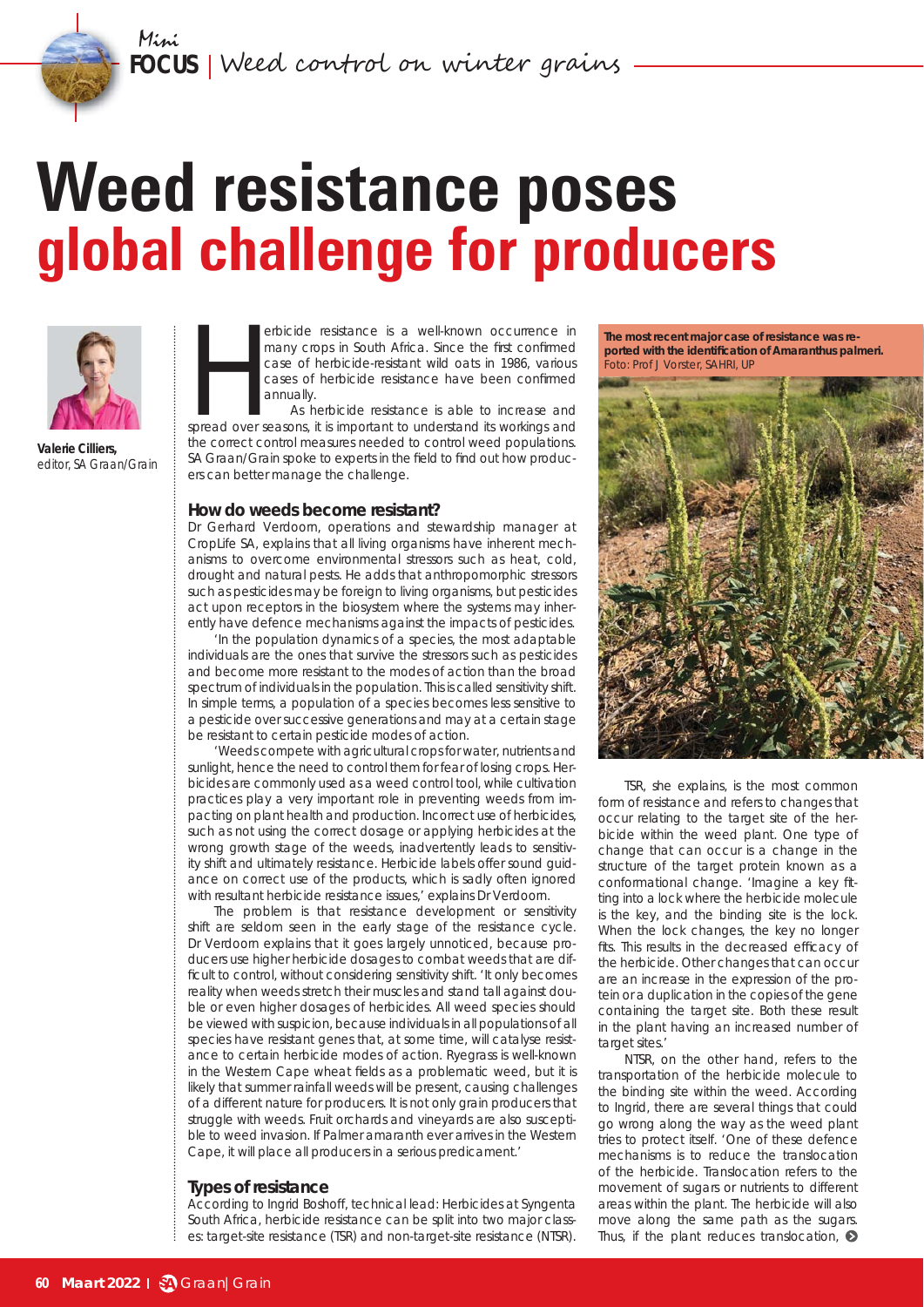# **Weed resistance poses global challenge for producers**



**Valerie Cilliers,**  editor, *SA Graan/Grain*

erbicide resistance is a well-known occurrence in<br>
many crops in South Africa. Since the first confirmed<br>
case of herbicide-resistance have been confirmed<br>
annually.<br>
As herbicide resistance is able to increase and<br>
spread many crops in South Africa. Since the first confirmed case of herbicide-resistant wild oats in 1986, various cases of herbicide resistance have been confirmed annually.

As herbicide resistance is able to increase and the correct control measures needed to control weed populations. *SA Graan/Grain* spoke to experts in the field to find out how producers can better manage the challenge.

#### **How do weeds become resistant?**

Dr Gerhard Verdoorn, operations and stewardship manager at CropLife SA, explains that all living organisms have inherent mechanisms to overcome environmental stressors such as heat, cold, drought and natural pests. He adds that anthropomorphic stressors such as pesticides may be foreign to living organisms, but pesticides act upon receptors in the biosystem where the systems may inherently have defence mechanisms against the impacts of pesticides.

'In the population dynamics of a species, the most adaptable individuals are the ones that survive the stressors such as pesticides and become more resistant to the modes of action than the broad spectrum of individuals in the population. This is called sensitivity shift. In simple terms, a population of a species becomes less sensitive to a pesticide over successive generations and may at a certain stage be resistant to certain pesticide modes of action.

'Weeds compete with agricultural crops for water, nutrients and sunlight, hence the need to control them for fear of losing crops. Herbicides are commonly used as a weed control tool, while cultivation practices play a very important role in preventing weeds from impacting on plant health and production. Incorrect use of herbicides, such as not using the correct dosage or applying herbicides at the wrong growth stage of the weeds, inadvertently leads to sensitivity shift and ultimately resistance. Herbicide labels offer sound guidance on correct use of the products, which is sadly often ignored with resultant herbicide resistance issues,' explains Dr Verdoorn.

The problem is that resistance development or sensitivity shift are seldom seen in the early stage of the resistance cycle. Dr Verdoorn explains that it goes largely unnoticed, because producers use higher herbicide dosages to combat weeds that are difficult to control, without considering sensitivity shift. 'It only becomes reality when weeds stretch their muscles and stand tall against double or even higher dosages of herbicides. All weed species should be viewed with suspicion, because individuals in all populations of all species have resistant genes that, at some time, will catalyse resistance to certain herbicide modes of action. Ryegrass is well-known in the Western Cape wheat fields as a problematic weed, but it is likely that summer rainfall weeds will be present, causing challenges of a different nature for producers. It is not only grain producers that struggle with weeds. Fruit orchards and vineyards are also susceptible to weed invasion. If Palmer amaranth ever arrives in the Western Cape, it will place all producers in a serious predicament.'

#### **Types of resistance**

According to Ingrid Boshoff, technical lead: Herbicides at Syngenta South Africa, herbicide resistance can be split into two major classes: target-site resistance (TSR) and non-target-site resistance (NTSR).

**The most recent major case of resistance was reported with the identifi cation of** *Amaranthus palmeri***. Foto: Prof J Vorster, SAHRI, UP** 



TSR, she explains, is the most common form of resistance and refers to changes that occur relating to the target site of the herbicide within the weed plant. One type of change that can occur is a change in the structure of the target protein known as a conformational change. 'Imagine a key fitting into a lock where the herbicide molecule is the key, and the binding site is the lock. When the lock changes, the key no longer fits. This results in the decreased efficacy of the herbicide. Other changes that can occur are an increase in the expression of the protein or a duplication in the copies of the gene containing the target site. Both these result in the plant having an increased number of target sites.'

NTSR, on the other hand, refers to the transportation of the herbicide molecule to the binding site within the weed. According to Ingrid, there are several things that could go wrong along the way as the weed plant tries to protect itself. 'One of these defence mechanisms is to reduce the translocation of the herbicide. Translocation refers to the movement of sugars or nutrients to different areas within the plant. The herbicide will also move along the same path as the sugars. Thus, if the plant reduces translocation,  $\odot$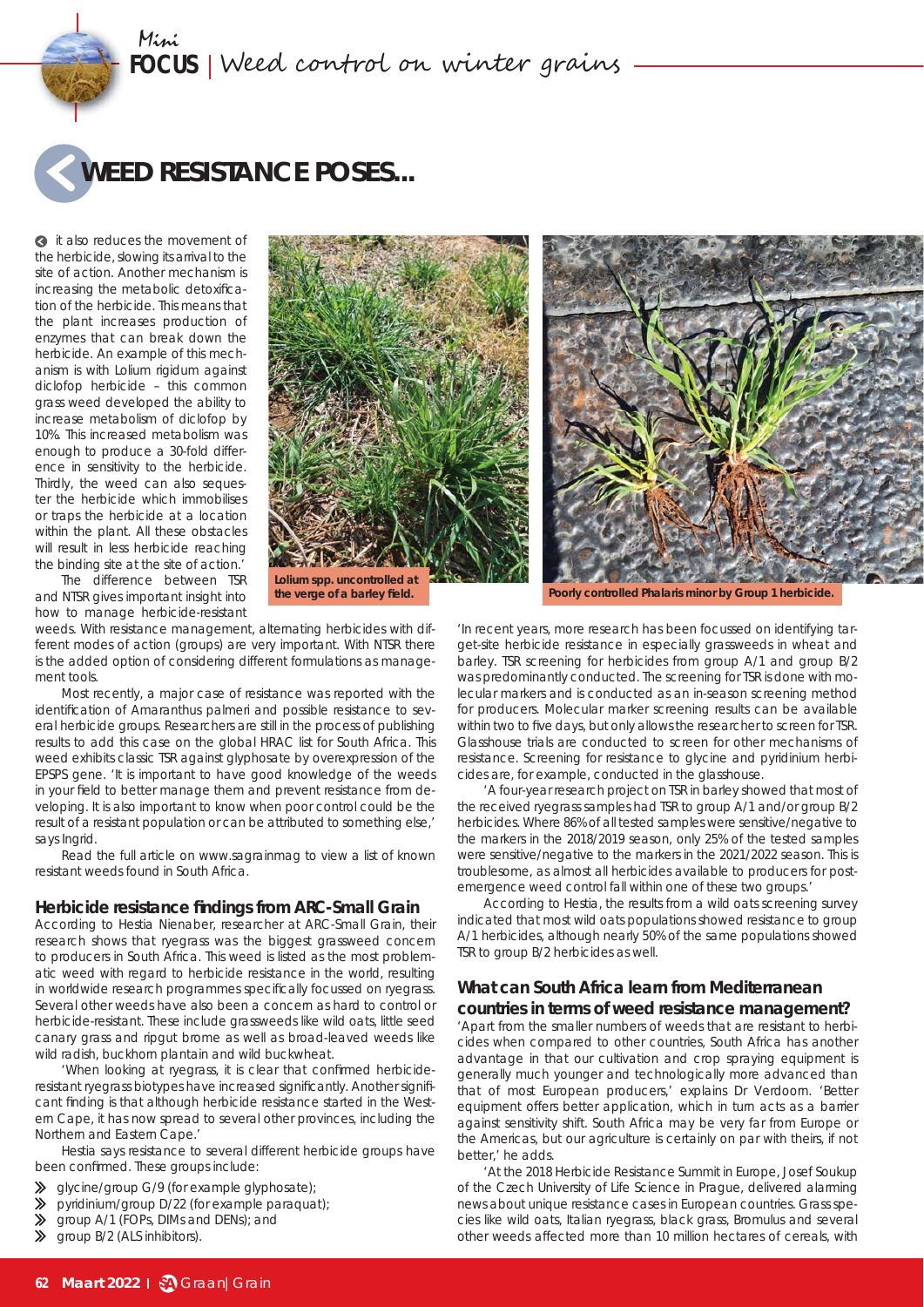

**a** it also reduces the movement of the herbicide, slowing its arrival to the site of action. Another mechanism is increasing the metabolic detoxification of the herbicide. This means that the plant increases production of enzymes that can break down the herbicide. An example of this mechanism is with *Lolium rigidum* against diclofop herbicide – this common grass weed developed the ability to increase metabolism of diclofop by 10%. This increased metabolism was enough to produce a 30-fold difference in sensitivity to the herbicide. Thirdly, the weed can also sequester the herbicide which immobilises or traps the herbicide at a location within the plant. All these obstacles will result in less herbicide reaching the binding site at the site of action.'



The difference between TSR and NTSR gives important insight into how to manage herbicide-resistant

**the verge of a barley fi eld.**

weeds. With resistance management, alternating herbicides with different modes of action (groups) are very important. With NTSR there is the added option of considering different formulations as management tools.

Most recently, a major case of resistance was reported with the identification of *Amaranthus palmeri* and possible resistance to several herbicide groups. Researchers are still in the process of publishing results to add this case on the global HRAC list for South Africa. This weed exhibits classic TSR against glyphosate by overexpression of the EPSPS gene. 'It is important to have good knowledge of the weeds in your field to better manage them and prevent resistance from developing. It is also important to know when poor control could be the result of a resistant population or can be attributed to something else,' says Ingrid.

Read the full article on *www.sagrainmag* to view a list of known resistant weeds found in South Africa.

#### **Herbicide resistance fi ndings from ARC-Small Grain**

According to Hestia Nienaber, researcher at ARC-Small Grain, their research shows that ryegrass was the biggest grassweed concern to producers in South Africa. This weed is listed as the most problematic weed with regard to herbicide resistance in the world, resulting in worldwide research programmes specifically focussed on ryegrass. Several other weeds have also been a concern as hard to control or herbicide-resistant. These include grassweeds like wild oats, little seed canary grass and ripgut brome as well as broad-leaved weeds like wild radish, buckhorn plantain and wild buckwheat.

'When looking at ryegrass, it is clear that confirmed herbicideresistant ryegrass biotypes have increased significantly. Another significant finding is that although herbicide resistance started in the Western Cape, it has now spread to several other provinces, including the Northern and Eastern Cape.'

Hestia says resistance to several different herbicide groups have been confirmed. These groups include:

- ⇘ glycine/group G/9 (for example glyphosate);
- pyridinium/group D/22 (for example paraquat);
- **X** aroup A/1 (FOPs, DIMs and DENs); and
- $\gg$  group B/2 (ALS inhibitors).



**Poorly controlled** *Phalaris minor* **by Group 1 herbicide.**

'In recent years, more research has been focussed on identifying target-site herbicide resistance in especially grassweeds in wheat and barley. TSR screening for herbicides from group A/1 and group B/2 was predominantly conducted. The screening for TSR is done with molecular markers and is conducted as an in-season screening method for producers. Molecular marker screening results can be available within two to five days, but only allows the researcher to screen for TSR. Glasshouse trials are conducted to screen for other mechanisms of resistance. Screening for resistance to glycine and pyridinium herbicides are, for example, conducted in the glasshouse.

'A four-year research project on TSR in barley showed that most of the received ryegrass samples had TSR to group A/1 and/or group B/2 herbicides. Where 86% of all tested samples were sensitive/negative to the markers in the 2018/2019 season, only 25% of the tested samples were sensitive/negative to the markers in the 2021/2022 season. This is troublesome, as almost all herbicides available to producers for postemergence weed control fall within one of these two groups.'

According to Hestia, the results from a wild oats screening survey indicated that most wild oats populations showed resistance to group A/1 herbicides, although nearly 50% of the same populations showed TSR to group B/2 herbicides as well.

### **What can South Africa learn from Mediterranean countries in terms of weed resistance management?**

'Apart from the smaller numbers of weeds that are resistant to herbicides when compared to other countries, South Africa has another advantage in that our cultivation and crop spraying equipment is generally much younger and technologically more advanced than that of most European producers,' explains Dr Verdoorn. 'Better equipment offers better application, which in turn acts as a barrier against sensitivity shift. South Africa may be very far from Europe or the Americas, but our agriculture is certainly on par with theirs, if not better,' he adds.

'At the 2018 Herbicide Resistance Summit in Europe, Josef Soukup of the Czech University of Life Science in Prague, delivered alarming news about unique resistance cases in European countries. Grass species like wild oats, Italian ryegrass, black grass, *Bromulus* and several other weeds affected more than 10 million hectares of cereals, with